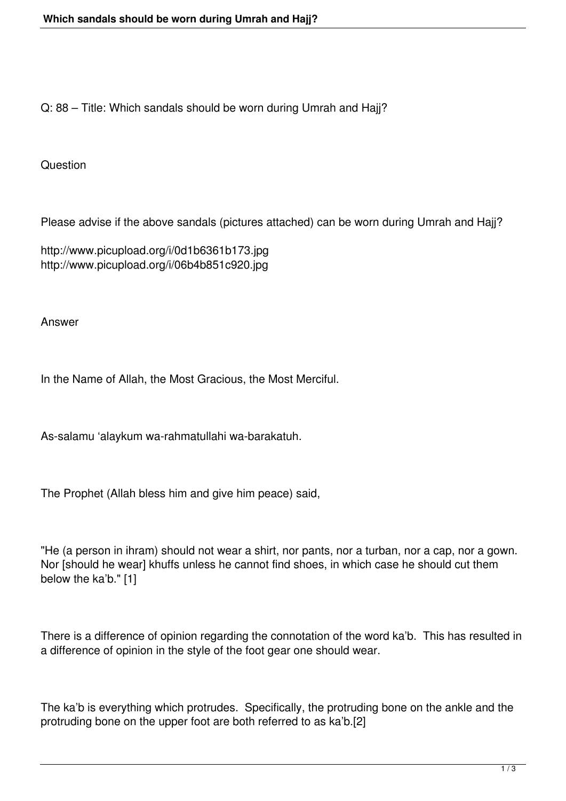Q: 88 – Title: Which sandals should be worn during Umrah and Hajj?

Question

Please advise if the above sandals (pictures attached) can be worn during Umrah and Hajj?

http://www.picupload.org/i/0d1b6361b173.jpg http://www.picupload.org/i/06b4b851c920.jpg

Answer

In the Name of Allah, the Most Gracious, the Most Merciful.

As-salamu 'alaykum wa-rahmatullahi wa-barakatuh.

The Prophet (Allah bless him and give him peace) said,

"He (a person in ihram) should not wear a shirt, nor pants, nor a turban, nor a cap, nor a gown. Nor [should he wear] khuffs unless he cannot find shoes, in which case he should cut them below the ka'b." [1]

There is a difference of opinion regarding the connotation of the word ka'b. This has resulted in a difference of opinion in the style of the foot gear one should wear.

The ka'b is everything which protrudes. Specifically, the protruding bone on the ankle and the protruding bone on the upper foot are both referred to as ka'b.[2]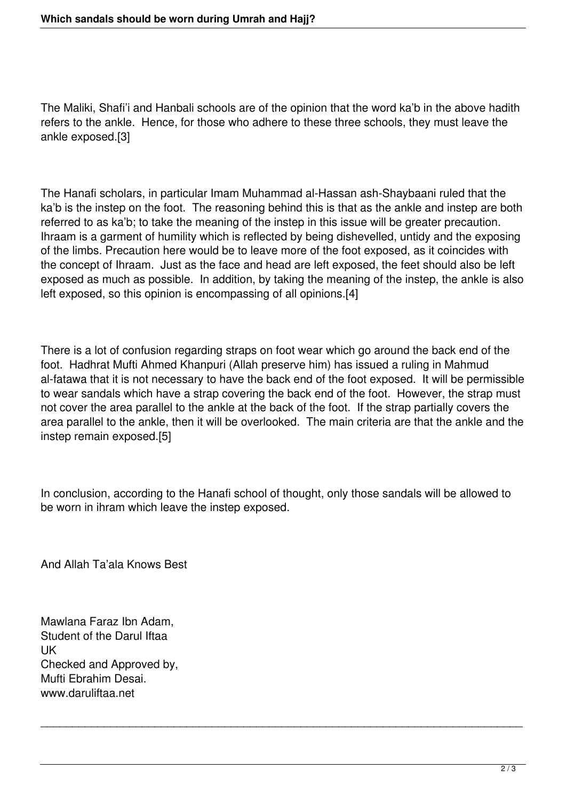The Maliki, Shafi'i and Hanbali schools are of the opinion that the word ka'b in the above hadith refers to the ankle. Hence, for those who adhere to these three schools, they must leave the ankle exposed.[3]

The Hanafi scholars, in particular Imam Muhammad al-Hassan ash-Shaybaani ruled that the ka'b is the instep on the foot. The reasoning behind this is that as the ankle and instep are both referred to as ka'b; to take the meaning of the instep in this issue will be greater precaution. Ihraam is a garment of humility which is reflected by being dishevelled, untidy and the exposing of the limbs. Precaution here would be to leave more of the foot exposed, as it coincides with the concept of Ihraam. Just as the face and head are left exposed, the feet should also be left exposed as much as possible. In addition, by taking the meaning of the instep, the ankle is also left exposed, so this opinion is encompassing of all opinions.[4]

There is a lot of confusion regarding straps on foot wear which go around the back end of the foot. Hadhrat Mufti Ahmed Khanpuri (Allah preserve him) has issued a ruling in Mahmud al-fatawa that it is not necessary to have the back end of the foot exposed. It will be permissible to wear sandals which have a strap covering the back end of the foot. However, the strap must not cover the area parallel to the ankle at the back of the foot. If the strap partially covers the area parallel to the ankle, then it will be overlooked. The main criteria are that the ankle and the instep remain exposed.[5]

In conclusion, according to the Hanafi school of thought, only those sandals will be allowed to be worn in ihram which leave the instep exposed.

\_\_\_\_\_\_\_\_\_\_\_\_\_\_\_\_\_\_\_\_\_\_\_\_\_\_\_\_\_\_\_\_\_\_\_\_\_\_\_\_\_\_\_\_\_\_\_\_\_\_\_\_\_\_\_\_\_\_\_\_\_\_\_\_\_\_\_\_\_\_\_\_\_\_\_\_

And Allah Ta'ala Knows Best

Mawlana Faraz Ibn Adam, Student of the Darul Iftaa UK Checked and Approved by, Mufti Ebrahim Desai. www.daruliftaa.net